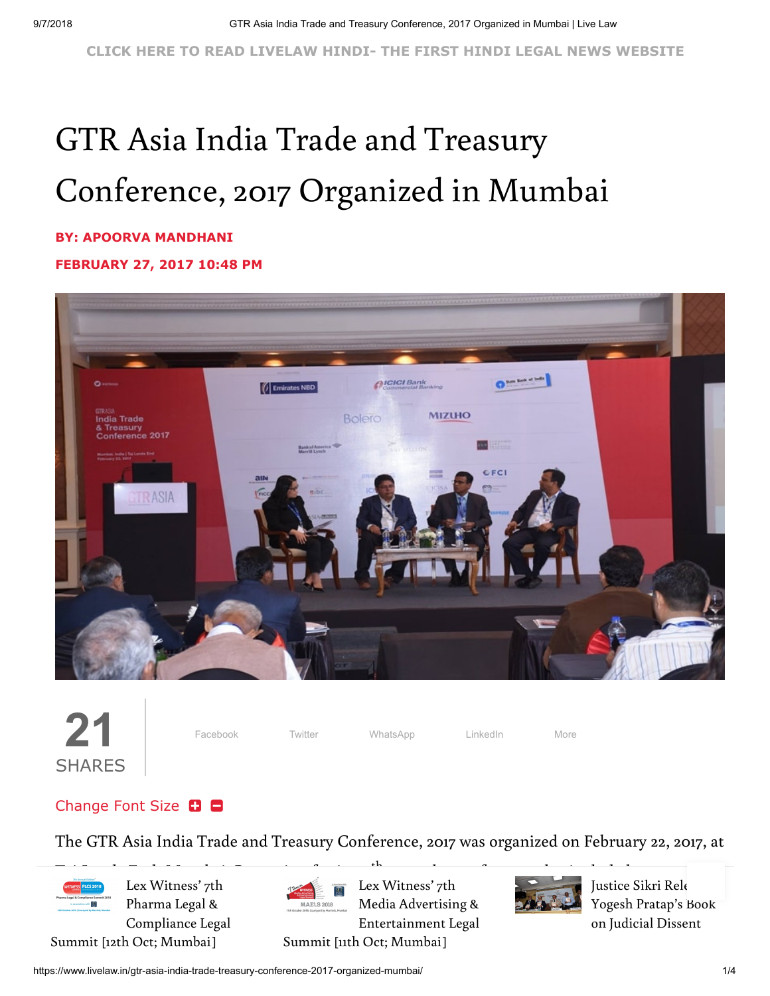**[CLICK HERE TO READ LIVELAW HINDI- THE FIRST HINDI LEGAL NEWS WEBSITE](http://hindi.livelaw.in/)**

# GTR Asia India Trade and Treasury Conference, 2017 Organized in Mumbai

#### **BY: APOORVA MANDHANI**

**FEBRUARY 27, 2017 10:48 PM**





Facebook Twitter WhatsApp LinkedIn More

### [Change Font Size](javascript:void(0);) **D**

The GTR Asia India Trade and Treasury Conference, 2017 was organized on February 22, 2017, at

 $\mathbf{t}$ 



[fintech](https://www.livelaw.in/lex-witness-7th-pharma-legal-mumbai/) aspects relating to trade. Pharma Legal & Lex Witness' 7th [Compliance Legal](https://www.livelaw.in/lex-witness-7th-pharma-legal-mumbai/)

Summit [12th Oct; Mumbai]



Lex Witness' 7th Media Advertising & [Entertainment](https://www.livelaw.in/lex-witness-7th-media-advertising-mumbai/) Legal Summit [11th Oct; Mumbai]



[Justice Sikri](https://www.livelaw.in/justice-sikri-releases-yogesh-prataps-book-on-judicial-dissent/) Rele Yogesh Pratap's Book on Judicial Dissent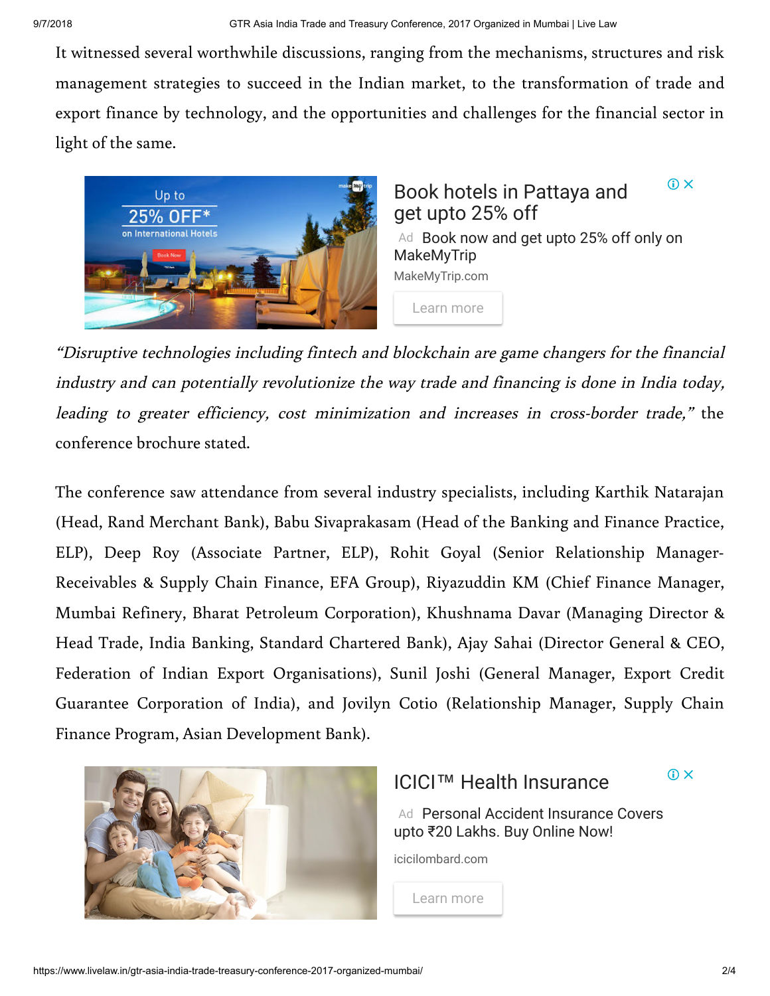It witnessed several worthwhile discussions, ranging from the mechanisms, structures and risk management strategies to succeed in the Indian market, to the transformation of trade and export finance by technology, and the opportunities and challenges for the financial sector in light of the same.



## $\odot$   $\times$ [Book hotels in Pattaya and](https://www.googleadservices.com/pagead/aclk?sa=L&ai=Cm1_xmhGSW76ZNNGOrQG0rqjAC6DHn_BS6OrtvIQG_9GivcABEAEgmM6zDmDlsuWDrA6gAdy1nskDyAEGqQKMjazA0tRNPqgDAcgDAqoE3AFP0FCQZfUF0h-HTft1-LM1PBZUBVibZtIZTjMg9UI-NNnFfSz1pDBYz2IKaGZfYsI-Q6xjMKQXNELUqK6Q7BX2SDNK08P-YOkh8uDnYyDdEdhOcqEYDM1sa0yGLhVALFSb-9iYEvbLIopZDXG9SwoneR_8BzFKYUFAnlvf00KnoPP_hDg_B2VCwHE04mIFyl9RSCpxnUspM1YH_WYxVOF2eMJpnzx_7LKonLFc0ccUFH7jg-Si_12LFMtWVxyyr6nsGoYZSIj5ISRokE3I6BMb80Ud96jZj_qP_uxWoAY3gAeMyuE2qAeOzhuoB9XJG6gH2csbqAfPzBuoB6a-G6gHmM4b2AcB0ggHCIABEAEYArEJWJ5JXT_VE-6ACgHYEwI&num=1&cid=CAASEuRo2ne_ke-DaNtmttNTlIX7oQ&sig=AOD64_1Ao5zBJIijJnIdMsMIRn3FNYKEvA&client=ca-pub-7480583315231076&nb=0&adurl=https://www.makemytrip.com/mmthtl/site/hotels/search%3Fcheckin%3Ddate_7%26country%3DTH%26roomStayQualifier%3D1e0e%26city%3D-3242432%26area%3D%26checkout%3Ddate_9%26cmp%3Ddisp_gdn_IH_topcities_VJ_Pattaya)  get upto 25% off Ad Book now and get upto 25% off only on MakeMyTrip [MakeMyTrip.com](https://www.googleadservices.com/pagead/aclk?sa=L&ai=Cm1_xmhGSW76ZNNGOrQG0rqjAC6DHn_BS6OrtvIQG_9GivcABEAEgmM6zDmDlsuWDrA6gAdy1nskDyAEGqQKMjazA0tRNPqgDAcgDAqoE3AFP0FCQZfUF0h-HTft1-LM1PBZUBVibZtIZTjMg9UI-NNnFfSz1pDBYz2IKaGZfYsI-Q6xjMKQXNELUqK6Q7BX2SDNK08P-YOkh8uDnYyDdEdhOcqEYDM1sa0yGLhVALFSb-9iYEvbLIopZDXG9SwoneR_8BzFKYUFAnlvf00KnoPP_hDg_B2VCwHE04mIFyl9RSCpxnUspM1YH_WYxVOF2eMJpnzx_7LKonLFc0ccUFH7jg-Si_12LFMtWVxyyr6nsGoYZSIj5ISRokE3I6BMb80Ud96jZj_qP_uxWoAY3gAeMyuE2qAeOzhuoB9XJG6gH2csbqAfPzBuoB6a-G6gHmM4b2AcB0ggHCIABEAEYArEJWJ5JXT_VE-6ACgHYEwI&num=1&cid=CAASEuRo2ne_ke-DaNtmttNTlIX7oQ&sig=AOD64_1Ao5zBJIijJnIdMsMIRn3FNYKEvA&client=ca-pub-7480583315231076&adurl=https://www.makemytrip.com/mmthtl/site/hotels/search%3Fcheckin%3Ddate_7%26country%3DTH%26roomStayQualifier%3D1e0e%26city%3D-3242432%26area%3D%26checkout%3Ddate_9%26cmp%3Ddisp_gdn_IH_topcities_VJ_Pattaya)

[Learn more](https://www.googleadservices.com/pagead/aclk?sa=L&ai=Cm1_xmhGSW76ZNNGOrQG0rqjAC6DHn_BS6OrtvIQG_9GivcABEAEgmM6zDmDlsuWDrA6gAdy1nskDyAEGqQKMjazA0tRNPqgDAcgDAqoE3AFP0FCQZfUF0h-HTft1-LM1PBZUBVibZtIZTjMg9UI-NNnFfSz1pDBYz2IKaGZfYsI-Q6xjMKQXNELUqK6Q7BX2SDNK08P-YOkh8uDnYyDdEdhOcqEYDM1sa0yGLhVALFSb-9iYEvbLIopZDXG9SwoneR_8BzFKYUFAnlvf00KnoPP_hDg_B2VCwHE04mIFyl9RSCpxnUspM1YH_WYxVOF2eMJpnzx_7LKonLFc0ccUFH7jg-Si_12LFMtWVxyyr6nsGoYZSIj5ISRokE3I6BMb80Ud96jZj_qP_uxWoAY3gAeMyuE2qAeOzhuoB9XJG6gH2csbqAfPzBuoB6a-G6gHmM4b2AcB0ggHCIABEAEYArEJWJ5JXT_VE-6ACgHYEwI&num=1&cid=CAASEuRo2ne_ke-DaNtmttNTlIX7oQ&sig=AOD64_1Ao5zBJIijJnIdMsMIRn3FNYKEvA&client=ca-pub-7480583315231076&adurl=https://www.makemytrip.com/mmthtl/site/hotels/search%3Fcheckin%3Ddate_7%26country%3DTH%26roomStayQualifier%3D1e0e%26city%3D-3242432%26area%3D%26checkout%3Ddate_9%26cmp%3Ddisp_gdn_IH_topcities_VJ_Pattaya)

"Disruptive technologies including fintech and blockchain are game changers for the financial industry and can potentially revolutionize the way trade and financing is done in India today, leading to greater efficiency, cost minimization and increases in cross-border trade," the conference brochure stated.

The conference saw attendance from several industry specialists, including Karthik Natarajan (Head, Rand Merchant Bank), Babu Sivaprakasam (Head of the Banking and Finance Practice, ELP), Deep Roy (Associate Partner, ELP), Rohit Goyal (Senior Relationship Manager-Receivables & Supply Chain Finance, EFA Group), Riyazuddin KM (Chief Finance Manager, Mumbai Refinery, Bharat Petroleum Corporation), Khushnama Davar (Managing Director & Head Trade, India Banking, Standard Chartered Bank), Ajay Sahai (Director General & CEO, Federation of Indian Export Organisations), Sunil Joshi (General Manager, Export Credit Guarantee Corporation of India), and Jovilyn Cotio (Relationship Manager, Supply Chain Finance Program, Asian Development Bank).

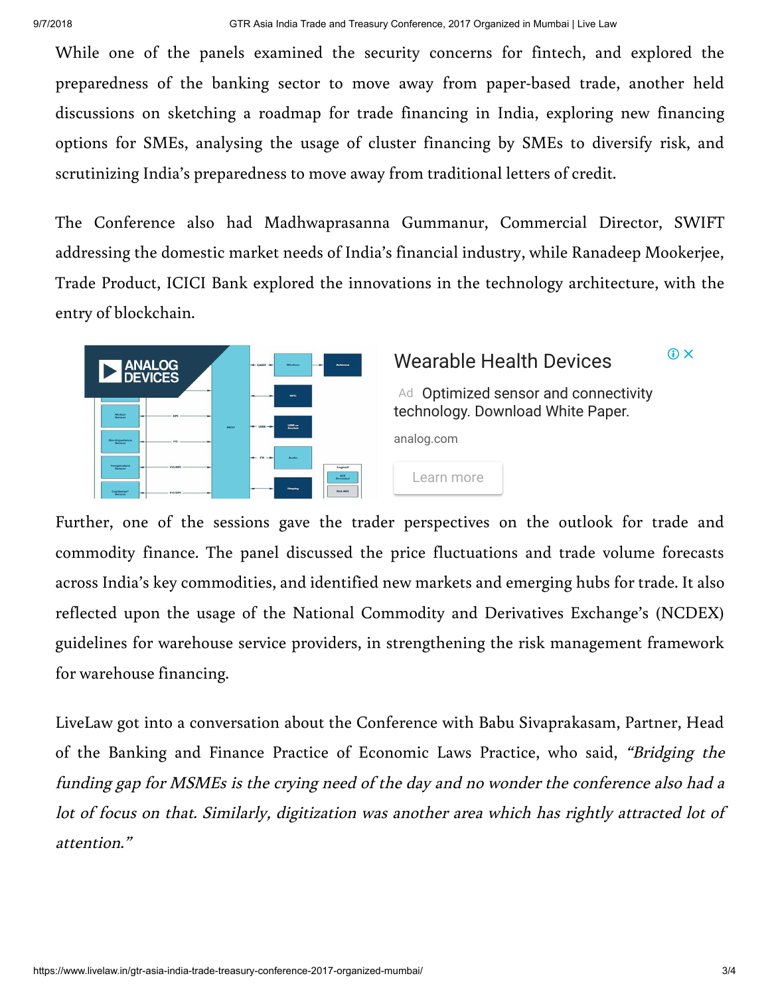While one of the panels examined the security concerns for fintech, and explored the preparedness of the banking sector to move away from paper-based trade, another held discussions on sketching a roadmap for trade financing in India, exploring new financing options for SMEs, analysing the usage of cluster financing by SMEs to diversify risk, and scrutinizing India's preparedness to move away from traditional letters of credit.

The Conference also had Madhwaprasanna Gummanur, Commercial Director, SWIFT addressing the domestic market needs of India's financial industry, while Ranadeep Mookerjee, Trade Product, ICICI Bank explored the innovations in the technology architecture, with the entry of blockchain.



## $\odot$   $\times$ [Wearable Health Devices](https://googleads.g.doubleclick.net/aclk?sa=l&ai=C6ytPmhGSW5zKN5HCrQHE07roDayj3OlSzK2_rNQGmujS4LIBEAEgmM6zDmDlsuWDrA6gAcyB-_4DyAEBqAMByAPLBKoE4gFP0KMrDkWjkPxIA185rV25tsQVOpT-0bB16uWqH-DLYEAl2uHAZmuotptWl_EtKZ6zO_9CjGlviKFZiXICogXW9O93X-CBYxTDxesLVz-7rmb-8gJNk1FMPgO2H44AUa_0XFzOLpbAXEzPLGsO1HxbDI8kFCh2gPiiKYlRFgCYyMvOPIaQkrVGdIXKmjSrn1wIb7b5lHJbmb6n3nIhoWfseadVwN60b5QF4vhnWSTPotjaoU4MtwqELsTEKxKwgpz_ompr_Gk2Os5Qc2E_jhGe442A5uuYB-pCi57pye-qXPURgAec_oQBqAeOzhuoB9XJG6gH2csbqAfPzBuoB6a-G6gHmM4bqAeaBtgHAdIIBwiAARABGAKxCXAg7k77LYDOgAoB2BMM&num=1&sig=AOD64_1TPggjLmUU021XXFyIQCAuIxFoFw&client=ca-pub-7480583315231076&nb=0&adurl=http://www.analog.com/en/landing-pages/001/apm-smart-wearable-device-solutions-form.html%3Fadicid%3Dpdsr_ap-in_p1680_smt---230146730831-www.livelaw.in-c-d) Ad Optimized sensor and connectivity [technology. Download White Paper.](https://googleads.g.doubleclick.net/aclk?sa=l&ai=C6ytPmhGSW5zKN5HCrQHE07roDayj3OlSzK2_rNQGmujS4LIBEAEgmM6zDmDlsuWDrA6gAcyB-_4DyAEBqAMByAPLBKoE4gFP0KMrDkWjkPxIA185rV25tsQVOpT-0bB16uWqH-DLYEAl2uHAZmuotptWl_EtKZ6zO_9CjGlviKFZiXICogXW9O93X-CBYxTDxesLVz-7rmb-8gJNk1FMPgO2H44AUa_0XFzOLpbAXEzPLGsO1HxbDI8kFCh2gPiiKYlRFgCYyMvOPIaQkrVGdIXKmjSrn1wIb7b5lHJbmb6n3nIhoWfseadVwN60b5QF4vhnWSTPotjaoU4MtwqELsTEKxKwgpz_ompr_Gk2Os5Qc2E_jhGe442A5uuYB-pCi57pye-qXPURgAec_oQBqAeOzhuoB9XJG6gH2csbqAfPzBuoB6a-G6gHmM4bqAeaBtgHAdIIBwiAARABGAKxCXAg7k77LYDOgAoB2BMM&num=1&sig=AOD64_1TPggjLmUU021XXFyIQCAuIxFoFw&client=ca-pub-7480583315231076&adurl=http://www.analog.com/en/landing-pages/001/apm-smart-wearable-device-solutions-form.html%3Fadicid%3Dpdsr_ap-in_p1680_smt---230146730831-www.livelaw.in-c-d) [analog.com](https://googleads.g.doubleclick.net/aclk?sa=l&ai=C6ytPmhGSW5zKN5HCrQHE07roDayj3OlSzK2_rNQGmujS4LIBEAEgmM6zDmDlsuWDrA6gAcyB-_4DyAEBqAMByAPLBKoE4gFP0KMrDkWjkPxIA185rV25tsQVOpT-0bB16uWqH-DLYEAl2uHAZmuotptWl_EtKZ6zO_9CjGlviKFZiXICogXW9O93X-CBYxTDxesLVz-7rmb-8gJNk1FMPgO2H44AUa_0XFzOLpbAXEzPLGsO1HxbDI8kFCh2gPiiKYlRFgCYyMvOPIaQkrVGdIXKmjSrn1wIb7b5lHJbmb6n3nIhoWfseadVwN60b5QF4vhnWSTPotjaoU4MtwqELsTEKxKwgpz_ompr_Gk2Os5Qc2E_jhGe442A5uuYB-pCi57pye-qXPURgAec_oQBqAeOzhuoB9XJG6gH2csbqAfPzBuoB6a-G6gHmM4bqAeaBtgHAdIIBwiAARABGAKxCXAg7k77LYDOgAoB2BMM&num=1&sig=AOD64_1TPggjLmUU021XXFyIQCAuIxFoFw&client=ca-pub-7480583315231076&adurl=http://www.analog.com/en/landing-pages/001/apm-smart-wearable-device-solutions-form.html%3Fadicid%3Dpdsr_ap-in_p1680_smt---230146730831-www.livelaw.in-c-d) [Learn more](https://googleads.g.doubleclick.net/aclk?sa=l&ai=C6ytPmhGSW5zKN5HCrQHE07roDayj3OlSzK2_rNQGmujS4LIBEAEgmM6zDmDlsuWDrA6gAcyB-_4DyAEBqAMByAPLBKoE4gFP0KMrDkWjkPxIA185rV25tsQVOpT-0bB16uWqH-DLYEAl2uHAZmuotptWl_EtKZ6zO_9CjGlviKFZiXICogXW9O93X-CBYxTDxesLVz-7rmb-8gJNk1FMPgO2H44AUa_0XFzOLpbAXEzPLGsO1HxbDI8kFCh2gPiiKYlRFgCYyMvOPIaQkrVGdIXKmjSrn1wIb7b5lHJbmb6n3nIhoWfseadVwN60b5QF4vhnWSTPotjaoU4MtwqELsTEKxKwgpz_ompr_Gk2Os5Qc2E_jhGe442A5uuYB-pCi57pye-qXPURgAec_oQBqAeOzhuoB9XJG6gH2csbqAfPzBuoB6a-G6gHmM4bqAeaBtgHAdIIBwiAARABGAKxCXAg7k77LYDOgAoB2BMM&num=1&sig=AOD64_1TPggjLmUU021XXFyIQCAuIxFoFw&client=ca-pub-7480583315231076&adurl=http://www.analog.com/en/landing-pages/001/apm-smart-wearable-device-solutions-form.html%3Fadicid%3Dpdsr_ap-in_p1680_smt---230146730831-www.livelaw.in-c-d)

Further, one of the sessions gave the trader perspectives on the outlook for trade and commodity finance. The panel discussed the price fluctuations and trade volume forecasts across India's key commodities, and identified new markets and emerging hubs for trade. It also reflected upon the usage of the National Commodity and Derivatives Exchange's (NCDEX) guidelines for warehouse service providers, in strengthening the risk management framework for warehouse financing.

LiveLaw got into a conversation about the Conference with Babu Sivaprakasam, Partner, Head of the Banking and Finance Practice of Economic Laws Practice, who said, "Bridging the funding gap for MSMEs is the crying need of the day and no wonder the conference also had <sup>a</sup> lot of focus on that. Similarly, digitization was another area which has rightly attracted lot of attention."